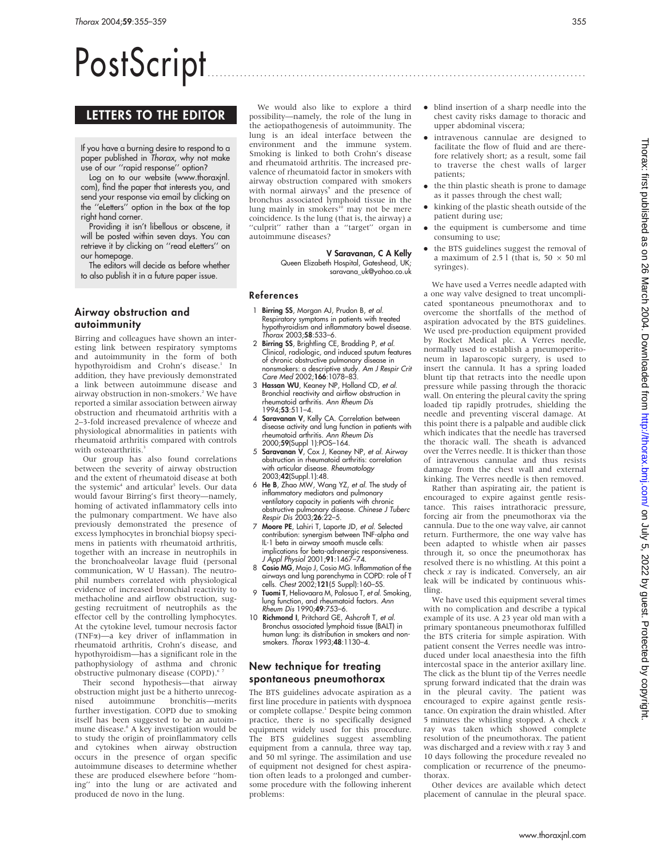# PostScript ..............................................................................................

# LETTERS TO THE EDITOR

If you have a burning desire to respond to a paper published in Thorax, why not make use of our ''rapid response'' option?

Log on to our website (www.thoraxjnl. com), find the paper that interests you, and send your response via email by clicking on the ''eLetters'' option in the box at the top right hand corner.

Providing it isn't libellous or obscene, it will be posted within seven days. You can retrieve it by clicking on ''read eLetters'' on our homepage.

The editors will decide as before whether to also publish it in a future paper issue.

# Airway obstruction and autoimmunity

Birring and colleagues have shown an interesting link between respiratory symptoms and autoimmunity in the form of both hypothyroidism and Crohn's disease.<sup>1</sup> In addition, they have previously demonstrated a link between autoimmune disease and airway obstruction in non-smokers.<sup>2</sup> We have reported a similar association between airway obstruction and rheumatoid arthritis with a 2–3-fold increased prevalence of wheeze and physiological abnormalities in patients with rheumatoid arthritis compared with controls with osteoarthritis.<sup>3</sup>

Our group has also found correlations between the severity of airway obstruction and the extent of rheumatoid disease at both the systemic<sup>4</sup> and articular<sup>5</sup> levels. Our data would favour Birring's first theory—namely, homing of activated inflammatory cells into the pulmonary compartment. We have also previously demonstrated the presence of excess lymphocytes in bronchial biopsy specimens in patients with rheumatoid arthritis, together with an increase in neutrophils in the bronchoalveolar lavage fluid (personal communication, W U Hassan). The neutrophil numbers correlated with physiological evidence of increased bronchial reactivity to methacholine and airflow obstruction, suggesting recruitment of neutrophils as the effector cell by the controlling lymphocytes. At the cytokine level, tumour necrosis factor  $(TNF\alpha)$ —a key driver of inflammation in rheumatoid arthritis, Crohn's disease, and hypothyroidism—has a significant role in the pathophysiology of asthma and chronic obstructive pulmonary disease (COPD).<sup>6</sup>

Their second hypothesis—that airway obstruction might just be a hitherto unrecognised autoimmune bronchitis—merits further investigation. COPD due to smoking itself has been suggested to be an autoimmune disease.<sup>8</sup> A key investigation would be to study the origin of proinflammatory cells and cytokines when airway obstruction occurs in the presence of organ specific autoimmune diseases to determine whether these are produced elsewhere before ''homing'' into the lung or are activated and produced de novo in the lung.

We would also like to explore a third possibility—namely, the role of the lung in the aetiopathogenesis of autoimmunity. The lung is an ideal interface between the environment and the immune system. Smoking is linked to both Crohn's disease and rheumatoid arthritis. The increased prevalence of rheumatoid factor in smokers with airway obstruction compared with smokers with normal airways<sup>9</sup> and the presence of bronchus associated lymphoid tissue in the lung mainly in smokers<sup>10</sup> may not be mere coincidence. Is the lung (that is, the airway) a "culprit" rather than a "target" organ in autoimmune diseases?

#### V Saravanan, C A Kelly Queen Elizabeth Hospital, Gateshead, UK; saravana\_uk@yahoo.co.uk

# References

- 1 Birring SS, Morgan AJ, Prudon B, et al. Respiratory symptoms in patients with treated hypothyroidism and inflammatory bowel disease. Thorax 2003;58:533–6.
- 2 Birring SS, Brightling CE, Bradding P, et al. Clinical, radiologic, and induced sputum features of chronic obstructive pulmonary disease in nonsmokers: a descriptive study. Am J Respir Crit Care Med 2002;166:1078-83.
- 3 Hassan WU, Keaney NP, Holland CD, et al. Bronchial reactivity and airflow obstruction in rheumatoid arthritis. Ann Rheum Dis 1994;53:511–4.
- 4 Saravanan V, Kelly CA. Correlation between disease activity and lung function in patients with rheumatoid arthritis. Ann Rheum Dis 2000;59(Suppl 1):POS–164.
- 5 Saravanan V, Cox J, Keaney NP, et al. Airway obstruction in rheumatoid arthritis: correlation with articular disease. Rheumatology 2003;42(Suppl.1):48.
- 6 He B, Zhao MW, Wang YZ, et al. The study of inflammatory mediators and pulmonary ventilatory capacity in patients with chronic obstructive pulmonary disease. Chinese J Tuberc Respir Dis 2003;26:22–5.
- 7 Moore PE, Lahiri T, Laporte JD, et al. Selected contribution: synergism between TNF-alpha and IL-1 beta in airway smooth muscle cells: implications for beta-adrenergic responsiveness. J Appl Physiol 2001;91:1467–74.
- 8 Cosio MG, Majo J, Cosio MG. Inflammation of the airways and lung parenchyma in COPD: role of T<br>cells. *Chest* 2002;**121**(5 Suppl):160–5S.<br>9 **Tuomi T**, Heliovaara M, Palosuo T*, et al.* Smoking,
- lung function, and rheumatoid factors. Ann Rheum Dis 1990;49:753–6.
- 10 Richmond I, Pritchard GE, Ashcroft T, et al. Bronchus associated lymphoid tissue (BALT) in human lung: its distribution in smokers and nonsmokers. Thorax 1993;48:1130–4.

# New technique for treating spontaneous pneumothorax

The BTS guidelines advocate aspiration as a first line procedure in patients with dyspnoea or complete collapse.<sup>1</sup> Despite being common practice, there is no specifically designed equipment widely used for this procedure. The BTS guidelines suggest assembling equipment from a cannula, three way tap, and 50 ml syringe. The assimilation and use of equipment not designed for chest aspiration often leads to a prolonged and cumbersome procedure with the following inherent problems:

- $\bullet$  blind insertion of a sharp needle into the chest cavity risks damage to thoracic and upper abdominal viscera;
- $\bullet$  intravenous cannulae are designed to facilitate the flow of fluid and are therefore relatively short; as a result, some fail to traverse the chest walls of larger patients;
- $\bullet$  the thin plastic sheath is prone to damage as it passes through the chest wall;
- $\bullet$  kinking of the plastic sheath outside of the patient during use;
- the equipment is cumbersome and time consuming to use;
- the BTS guidelines suggest the removal of a maximum of 2.5 l (that is,  $50 \times 50$  ml syringes).

We have used a Verres needle adapted with a one way valve designed to treat uncomplicated spontaneous pneumothorax and to overcome the shortfalls of the method of aspiration advocated by the BTS guidelines. We used pre-production equipment provided by Rocket Medical plc. A Verres needle, normally used to establish a pneumoperitoneum in laparoscopic surgery, is used to insert the cannula. It has a spring loaded blunt tip that retracts into the needle upon pressure while passing through the thoracic wall. On entering the pleural cavity the spring loaded tip rapidly protrudes, shielding the needle and preventing visceral damage. At this point there is a palpable and audible click which indicates that the needle has traversed the thoracic wall. The sheath is advanced over the Verres needle. It is thicker than those of intravenous cannulae and thus resists damage from the chest wall and external kinking. The Verres needle is then removed.

Rather than aspirating air, the patient is encouraged to expire against gentle resistance. This raises intrathoracic pressure, forcing air from the pneumothorax via the cannula. Due to the one way valve, air cannot return. Furthermore, the one way valve has been adapted to whistle when air passes through it, so once the pneumothorax has resolved there is no whistling. At this point a check x ray is indicated. Conversely, an air leak will be indicated by continuous whistling.

We have used this equipment several times with no complication and describe a typical example of its use. A 23 year old man with a primary spontaneous pneumothorax fulfilled the BTS criteria for simple aspiration. With patient consent the Verres needle was introduced under local anaesthesia into the fifth intercostal space in the anterior axillary line. The click as the blunt tip of the Verres needle sprung forward indicated that the drain was in the pleural cavity. The patient was encouraged to expire against gentle resistance. On expiration the drain whistled. After 5 minutes the whistling stopped. A check  $x$ ray was taken which showed complete resolution of the pneumothorax. The patient was discharged and a review with  $x$  ray 3 and 10 days following the procedure revealed no complication or recurrence of the pneumothorax.

Other devices are available which detect placement of cannulae in the pleural space.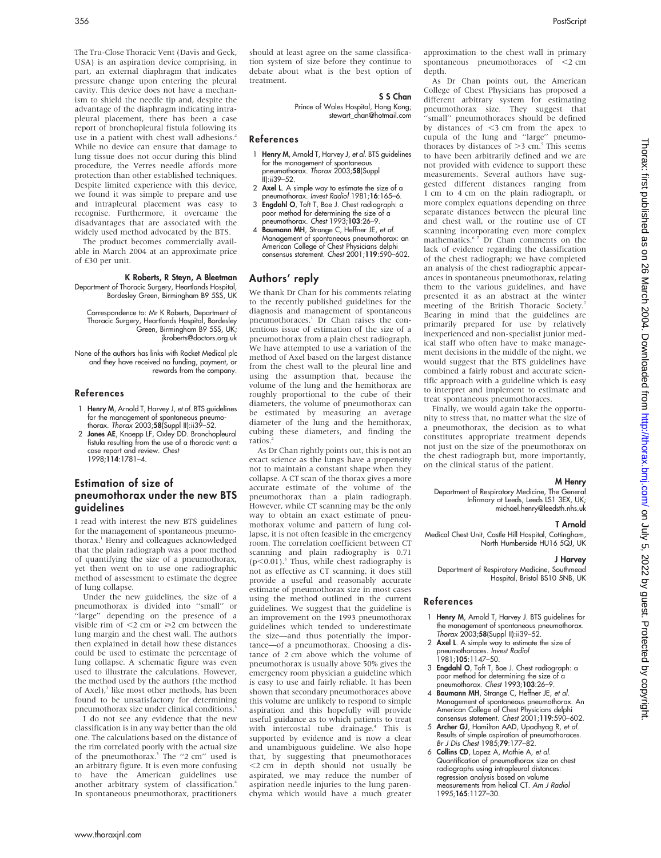The Tru-Close Thoracic Vent (Davis and Geck, USA) is an aspiration device comprising, in part, an external diaphragm that indicates pressure change upon entering the pleural cavity. This device does not have a mechanism to shield the needle tip and, despite the advantage of the diaphragm indicating intrapleural placement, there has been a case report of bronchopleural fistula following its use in a patient with chest wall adhesions.<sup>2</sup> While no device can ensure that damage to lung tissue does not occur during this blind procedure, the Verres needle affords more protection than other established techniques. Despite limited experience with this device, we found it was simple to prepare and use and intrapleural placement was easy to recognise. Furthermore, it overcame the disadvantages that are associated with the widely used method advocated by the BTS.

The product becomes commercially available in March 2004 at an approximate price of £30 per unit.

### K Roberts, R Steyn, A Bleetman

Department of Thoracic Surgery, Heartlands Hospital, Bordesley Green, Birmingham B9 5SS, UK

Correspondence to: Mr K Roberts, Department of Thoracic Surgery, Heartlands Hospital, Bordesley Green, Birmingham B9 5SS, UK; jkroberts@doctors.org.uk

None of the authors has links with Rocket Medical plc and they have received no funding, payment, or rewards from the company.

#### References

- 1 Henry M, Arnold T, Harvey J, et al. BTS guidelines for the management of spontaneous pneumothorax. Thorax 2003;58(Suppl II):ii39-52.
- 2 Jones AE, Knoepp LF, Oxley DD. Bronchopleural fistula resulting from the use of a thoracic vent: a case report and review. Chest 1998;114:1781–4.

# Estimation of size of pneumothorax under the new BTS guidelines

I read with interest the new BTS guidelines for the management of spontaneous pneumothorax.<sup>1</sup> Henry and colleagues acknowledged that the plain radiograph was a poor method of quantifying the size of a pneumothorax, yet then went on to use one radiographic method of assessment to estimate the degree of lung collapse.

Under the new guidelines, the size of a pneumothorax is divided into ''small'' or ''large'' depending on the presence of a visible rim of  $\leq$  cm or  $\geq$  cm between the lung margin and the chest wall. The authors then explained in detail how these distances could be used to estimate the percentage of lung collapse. A schematic figure was even used to illustrate the calculations. However, the method used by the authors (the method of Axel)<sup> $2$ </sup> like most other methods, has been found to be unsatisfactory for determining pneumothorax size under clinical conditions.

I do not see any evidence that the new classification is in any way better than the old one. The calculations based on the distance of the rim correlated poorly with the actual size of the pneumothorax.<sup>3</sup> The "2 cm" used is an arbitrary figure. It is even more confusing to have the American guidelines use another arbitrary system of classification.<sup>4</sup> In spontaneous pneumothorax, practitioners should at least agree on the same classification system of size before they continue to debate about what is the best option of treatment.

S S Chan

Prince of Wales Hospital, Hong Kong; stewart\_chan@hotmail.com

#### References

- 1 Henry M, Arnold T, Harvey J, et al. BTS guidelines for the management of spontaneous pneumothorax. Thorax 2003;58(Suppl II):ii39–52.
- 2 Axel L. A simple way to estimate the size of a pneumothorax. Invest Radiol 1981;16:165–6.
- 3 Engdahl O, Toft T, Boe J. Chest radiograph: a poor method for determining the size of a pneumothorax. Chest 1993;103:26–9.
- 4 Baumann MH, Strange C, Heffner JE, et al. Management of spontaneous pneumothorax: an American College of Chest Physicians delphi consensus statement. Chest 2001;119:590–602.

# Authors' reply

We thank Dr Chan for his comments relating to the recently published guidelines for the diagnosis and management of spontaneous pneumothoraces.1 Dr Chan raises the contentious issue of estimation of the size of a pneumothorax from a plain chest radiograph. We have attempted to use a variation of the method of Axel based on the largest distance from the chest wall to the pleural line and using the assumption that, because the volume of the lung and the hemithorax are roughly proportional to the cube of their diameters, the volume of pneumothorax can be estimated by measuring an average diameter of the lung and the hemithorax, cubing these diameters, and finding the ratios.

As Dr Chan rightly points out, this is not an exact science as the lungs have a propensity not to maintain a constant shape when they collapse. A CT scan of the thorax gives a more accurate estimate of the volume of the pneumothorax than a plain radiograph. However, while CT scanning may be the only way to obtain an exact estimate of pneumothorax volume and pattern of lung collapse, it is not often feasible in the emergency room. The correlation coefficient between CT scanning and plain radiography is 0.71  $(p<0.01)$ .<sup>3</sup> Thus, while chest radiography is not as effective as CT scanning, it does still provide a useful and reasonably accurate estimate of pneumothorax size in most cases using the method outlined in the current guidelines. We suggest that the guideline is an improvement on the 1993 pneumothorax guidelines which tended to underestimate the size—and thus potentially the importance—of a pneumothorax. Choosing a distance of 2 cm above which the volume of pneumothorax is usually above 50% gives the emergency room physician a guideline which is easy to use and fairly reliable. It has been shown that secondary pneumothoraces above this volume are unlikely to respond to simple aspiration and this hopefully will provide useful guidance as to which patients to treat with intercostal tube drainage.<sup>4</sup> This is supported by evidence and is now a clear and unambiguous guideline. We also hope that, by suggesting that pneumothoraces ,2 cm in depth should not usually be aspirated, we may reduce the number of aspiration needle injuries to the lung parenchyma which would have a much greater

approximation to the chest wall in primary spontaneous pneumothoraces of  $\leq$  2 cm depth.

As Dr Chan points out, the American College of Chest Physicians has proposed a different arbitrary system for estimating pneumothorax size. They suggest that ''small'' pneumothoraces should be defined by distances of  $\leq$ 3 cm from the apex to cupula of the lung and ''large'' pneumothoraces by distances of  $>$ 3 cm.<sup>5</sup> This seems to have been arbitrarily defined and we are not provided with evidence to support these measurements. Several authors have suggested different distances ranging from 1 cm to 4 cm on the plain radiograph, or more complex equations depending on three separate distances between the pleural line and chest wall, or the routine use of CT scanning incorporating even more complex mathematics. $6 \hat{7}$  Dr Chan comments on the lack of evidence regarding the classification of the chest radiograph; we have completed an analysis of the chest radiographic appearances in spontaneous pneumothorax, relating them to the various guidelines, and have presented it as an abstract at the winter meeting of the British Thoracic Society.<sup>7</sup> Bearing in mind that the guidelines are primarily prepared for use by relatively inexperienced and non-specialist junior medical staff who often have to make management decisions in the middle of the night, we would suggest that the BTS guidelines have combined a fairly robust and accurate scientific approach with a guideline which is easy to interpret and implement to estimate and treat spontaneous pneumothoraces.

Finally, we would again take the opportunity to stress that, no matter what the size of a pneumothorax, the decision as to what constitutes appropriate treatment depends not just on the size of the pneumothorax on the chest radiograph but, more importantly, on the clinical status of the patient.

#### M Henry

Department of Respiratory Medicine, The General Infirmary at Leeds, Leeds LS1 3EX, UK; michael.henry@leedsth.nhs.uk

#### T Arnold

Medical Chest Unit, Castle Hill Hospital, Cottingham, North Humberside HU16 5QJ, UK

#### J Harvey

Department of Respiratory Medicine, Southmead Hospital, Bristol BS10 5NB, UK

#### References

- 1 Henry M, Arnold T, Harvey J. BTS guidelines for the management of spontaneous pneumothorax. Thorax 2003;58(Suppl II):ii39–52.
- 2 Axel L. A simple way to estimate the size of neumothoraces. Invest Radiol 1981;105:1147–50.
- 3 Engdahl O, Toft T, Boe J. Chest radiograph: a poor method for determining the size of a pneumothorax. Chest 1993;103:26–9.
- 4 Baumann MH, Strange C, Heffner JE, et al. Management of spontaneous pneumothorax. An American College of Chest Physicians delphi consensus statement. Chest 2001;119:590–602.
- 5 Archer GJ, Hamilton AAD, Upadhyag R, et al. Results of simple aspiration of pneumothoraces. Br J Dis Chest 1985;79:177–82.
- 6 Collins CD, Lopez A, Mathie A, et al. Quantification of pneumothorax size on chest radiographs using intrapleural distances: regression analysis based on volume measurements from helical CT. Am J Radiol 1995;165:1127–30.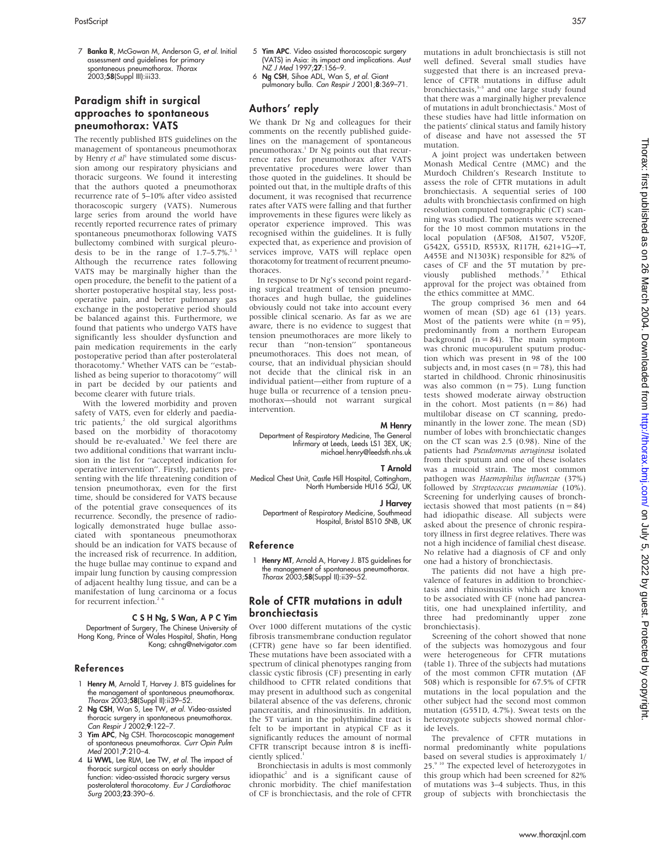7 Banka R, McGowan M, Anderson G, et al. Initial assessment and guidelines for primary spontaneous pneumothorax. Thorax 2003;58(Suppl III):iii33.

# Paradigm shift in surgical approaches to spontaneous pneumothorax: VATS

The recently published BTS guidelines on the management of spontaneous pneumothorax by Henry et  $a^1$  have stimulated some discussion among our respiratory physicians and thoracic surgeons. We found it interesting that the authors quoted a pneumothorax recurrence rate of 5–10% after video assisted thoracoscopic surgery (VATS). Numerous large series from around the world have recently reported recurrence rates of primary spontaneous pneumothorax following VATS bullectomy combined with surgical pleurodesis to be in the range of  $1.7-5.7\%$ <sup>2</sup> Although the recurrence rates following VATS may be marginally higher than the open procedure, the benefit to the patient of a shorter postoperative hospital stay, less postoperative pain, and better pulmonary gas exchange in the postoperative period should be balanced against this. Furthermore, we found that patients who undergo VATS have significantly less shoulder dysfunction and pain medication requirements in the early postoperative period than after posterolateral thoracotomy.4 Whether VATS can be ''established as being superior to thoracotomy'' will in part be decided by our patients and become clearer with future trials.

With the lowered morbidity and proven safety of VATS, even for elderly and paediatric patients, $2$  the old surgical algorithms based on the morbidity of thoracotomy should be re-evaluated.<sup>5</sup> We feel there are two additional conditions that warrant inclusion in the list for ''accepted indication for operative intervention''. Firstly, patients presenting with the life threatening condition of tension pneumothorax, even for the first time, should be considered for VATS because of the potential grave consequences of its recurrence. Secondly, the presence of radiologically demonstrated huge bullae associated with spontaneous pneumothorax should be an indication for VATS because of the increased risk of recurrence. In addition, the huge bullae may continue to expand and impair lung function by causing compression of adjacent healthy lung tissue, and can be a manifestation of lung carcinoma or a focus for recurrent infection.<sup>2</sup>

#### C S H Ng, S Wan, A P C Yim

Department of Surgery, The Chinese University of Hong Kong, Prince of Wales Hospital, Shatin, Hong Kong; cshng@netvigator.com

#### References

- 1 Henry M, Arnold T, Harvey J. BTS guidelines for the management of spontaneous pneumothorax. Thorax 2003;58(Suppl II):ii39-52
- 2 Ng CSH, Wan S, Lee TW, et al. Video-assisted thoracic surgery in spontaneous pneumothorax. Can Respir J 2002;9:122–7.
- 3 Yim APC, Ng CSH. Thoracoscopic management of spontaneous pneumothorax. Curr Opin Pulm Med 2001;7:210–4.
- 4 Li WWL, Lee RLM, Lee TW, et al. The impact of thoracic surgical access on early shoulder function: video-assisted thoracic surgery versus posterolateral thoracotomy. Eur J Cardiothorac Surg 2003;23:390–6.
- 5 Yim APC. Video assisted thoracoscopic surgery (VATS) in Asia: its impact and implications. Aust NZ J Med 1997;27:156-9.
- 6 Ng CSH, Sihoe ADL, Wan S, et al. Giant pulmonary bulla. Can Respir J 2001;8:369–71.

# Authors' reply

We thank Dr Ng and colleagues for their comments on the recently published guidelines on the management of spontaneous pneumothorax.<sup>1</sup> Dr Ng points out that recurrence rates for pneumothorax after VATS preventative procedures were lower than those quoted in the guidelines. It should be pointed out that, in the multiple drafts of this document, it was recognised that recurrence rates after VATS were falling and that further improvements in these figures were likely as operator experience improved. This was recognised within the guidelines. It is fully expected that, as experience and provision of services improve, VATS will replace open thoracotomy for treatment of recurrent pneumothoraces.

In response to Dr Ng's second point regarding surgical treatment of tension pneumothoraces and hugh bullae, the guidelines obviously could not take into account every possible clinical scenario. As far as we are aware, there is no evidence to suggest that tension pneumothoraces are more likely to recur than ''non-tension'' spontaneous pneumothoraces. This does not mean, of course, that an individual physician should not decide that the clinical risk in an individual patient—either from rupture of a huge bulla or recurrence of a tension pneumothorax—should not warrant surgical intervention.

#### M Henry

Department of Respiratory Medicine, The General Infirmary at Leeds, Leeds LS1 3EX, UK; michael.henry@leedsth.nhs.uk

#### T Arnold

Medical Chest Unit, Castle Hill Hospital, Cottingham, North Humberside HU16 5QJ, UK

#### J Harvey

Department of Respiratory Medicine, Southmead Hospital, Bristol BS10 5NB, UK

#### Reference

1 Henry MT, Arnold A, Harvey J. BTS guidelines for the management of spontaneous pneumothorax. Thorax 2003;58(Suppl II):ii39-52.

# Role of CFTR mutations in adult bronchiectasis

Over 1000 different mutations of the cystic fibrosis transmembrane conduction regulator (CFTR) gene have so far been identified. These mutations have been associated with a spectrum of clinical phenotypes ranging from classic cystic fibrosis (CF) presenting in early childhood to CFTR related conditions that may present in adulthood such as congenital bilateral absence of the vas deferens, chronic pancreatitis, and rhinosinusitis. In addition, the 5T variant in the polythimidine tract is felt to be important in atypical CF as it significantly reduces the amount of normal CFTR transcript because intron 8 is inefficiently spliced.

Bronchiectasis in adults is most commonly idiopathic<sup>2</sup> and is a significant cause of chronic morbidity. The chief manifestation of CF is bronchiectasis, and the role of CFTR

mutations in adult bronchiectasis is still not well defined. Several small studies have suggested that there is an increased prevalence of CFTR mutations in diffuse adult bronchiectasis, $3-5$  and one large study found that there was a marginally higher prevalence of mutations in adult bronchiectasis.<sup>6</sup> Most of these studies have had little information on the patients' clinical status and family history of disease and have not assessed the 5T mutation.

A joint project was undertaken between Monash Medical Centre (MMC) and the Murdoch Children's Research Institute to assess the role of CFTR mutations in adult bronchiectasis. A sequential series of 100 adults with bronchiectasis confirmed on high resolution computed tomographic (CT) scanning was studied. The patients were screened for the 10 most common mutations in the local population ( $\Delta$ F508,  $\Delta$ 1507, V520F, G542X, G551D, R553X, R117H, 621+1G-T, A455E and N1303K) responsible for 82% of cases of CF and the 5T mutation by pre-<br>viously published methods.<sup>78</sup> Ethical published methods.<sup>7 8</sup> approval for the project was obtained from the ethics committee at MMC.

The group comprised 36 men and 64 women of mean (SD) age 61 (13) years. Most of the patients were white  $(n = 95)$ , predominantly from a northern European background  $(n = 84)$ . The main symptom was chronic mucopurulent sputum production which was present in 98 of the 100 subjects and, in most cases ( $n = 78$ ), this had started in childhood. Chronic rhinosinusitis was also common  $(n = 75)$ . Lung function tests showed moderate airway obstruction in the cohort. Most patients  $(n = 86)$  had multilobar disease on CT scanning, predominantly in the lower zone. The mean (SD) number of lobes with bronchiectatic changes on the CT scan was 2.5 (0.98). Nine of the patients had Pseudomonas aeruginosa isolated from their sputum and one of these isolates was a mucoid strain. The most common pathogen was Haemophilus influenzae (37%) followed by Streptococcus pneumoniae (10%). Screening for underlying causes of bronchiectasis showed that most patients  $(n = 84)$ had idiopathic disease. All subjects were asked about the presence of chronic respiratory illness in first degree relatives. There was not a high incidence of familial chest disease. No relative had a diagnosis of CF and only one had a history of bronchiectasis.

The patients did not have a high prevalence of features in addition to bronchiectasis and rhinosinusitis which are known to be associated with CF (none had pancreatitis, one had unexplained infertility, and three had predominantly upper zone bronchiectasis).

Screening of the cohort showed that none of the subjects was homozygous and four were heterogeneous for CFTR mutations (table 1). Three of the subjects had mutations of the most common CFTR mutation (AF 508) which is responsible for 67.5% of CFTR mutations in the local population and the other subject had the second most common mutation (G551D, 4.7%). Sweat tests on the heterozygote subjects showed normal chloride levels.

The prevalence of CFTR mutations in normal predominantly white populations based on several studies is approximately 1/ 25.9 <sup>10</sup> The expected level of heterozygotes in this group which had been screened for 82% of mutations was 3–4 subjects. Thus, in this group of subjects with bronchiectasis the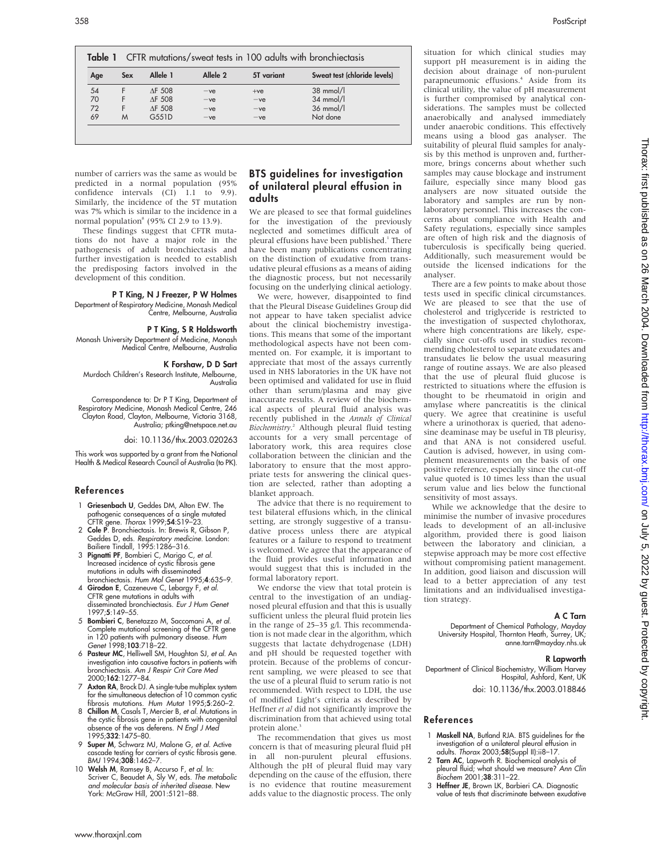| Age | Sex | Allele 1      | Allele <sub>2</sub> | 5T variant | Sweat test (chloride levels) |
|-----|-----|---------------|---------------------|------------|------------------------------|
| 54  |     | <b>AF 508</b> | $-ve$               | $+ve$      | $38$ mmol/l                  |
| 70  |     | <b>AF 508</b> | $-ve$               | $-ve$      | $34 \text{ mmol/l}$          |
| 72  | F   | <b>AF 508</b> | $-ve$               | $-ve$      | $36$ mmol/l                  |
| 69  | M   | G551D         | $-ve$               | $-ve$      | Not done                     |

number of carriers was the same as would be predicted in a normal population (95% confidence intervals  $(CI)$  1.1 to 9.9). Similarly, the incidence of the 5T mutation was 7% which is similar to the incidence in a normal population<sup>8</sup> (95% CI 2.9 to 13.9).

These findings suggest that CFTR mutations do not have a major role in the pathogenesis of adult bronchiectasis and further investigation is needed to establish the predisposing factors involved in the development of this condition.

#### P T King, N J Freezer, P W Holmes

Department of Respiratory Medicine, Monash Medical Centre, Melbourne, Australia

#### P T King, S R Holdsworth

Monash University Department of Medicine, Monash Medical Centre, Melbourne, Australia

#### K Forshaw, D D Sart

Murdoch Children's Research Institute, Melbourne, Australia

Correspondence to: Dr P T King, Department of Respiratory Medicine, Monash Medical Centre, 246 Clayton Road, Clayton, Melbourne, Victoria 3168, Australia; ptking@netspace.net.au

#### doi: 10.1136/thx.2003.020263

This work was supported by a grant from the National Health & Medical Research Council of Australia (to PK).

#### References

- 1 Griesenbach U, Geddes DM, Alton EW. The pathogenic consequences of a single mutated
- CFTR gene. Thorax 1999;54:S19–23. 2 Cole P. Bronchiectasis. In: Brewis R, Gibson P, Geddes D, eds. Respiratory medicine. London: Bailiere Tindall, 1995:1286–316.
- 3 Pignatti PF, Bombieri C, Marigo C, et al. Increased incidence of cystic fibrosis gene mutations in adults with disseminated bronchiectasis. Hum Mol Genet 1995;4:635–9.
- 4 Girodon E, Cazeneuve C, Lebargy F, et al. CFTR gene mutations in adults with disseminated bronchiectasis. Eur J Hum Genet 1997;5:149–55.
- 5 Bombieri C, Benetazzo M, Saccomani A, et al. Complete mutational screening of the CFTR gene in 120 patients with pulmonary disease. Hum Genet 1998;103:718-22.
- 6 Pasteur MC, Helliwell SM, Houghton SJ, et al. An investigation into causative factors in patients with bronchiectasis. Am J Respir Crit Care Med 2000;162:1277–84.
- 7 Axton RA, Brock DJ. A single-tube multiplex system for the simultaneous detection of 10 common cystic fibrosis mutations. Hum Mutat 1995;5:260–2.
- 8 Chillon M, Casals T, Mercier B, et al. Mutations in the cystic fibrosis gene in patients with congenital<br>absence of the vas deferens. N Engl J Med 1995;332:1475–80.
- 9 Super M, Schwarz MJ, Malone G, et al. Active cascade testing for carriers of cystic fibrosis gene. BMJ 1994;308:1462–7.
- 10 Welsh M, Ramsey B, Accurso F, et al. In: Scriver C, Beaudet A, Sly W, eds. The metabolic and molecular basis of inherited disease. New York: McGraw Hill, 2001:5121–88.

# BTS guidelines for investigation of unilateral pleural effusion in adults

We are pleased to see that formal guidelines for the investigation of the previously neglected and sometimes difficult area of pleural effusions have been published.<sup>1</sup> There have been many publications concentrating on the distinction of exudative from transudative pleural effusions as a means of aiding the diagnostic process, but not necessarily focusing on the underlying clinical aetiology.

We were, however, disappointed to find that the Pleural Disease Guidelines Group did not appear to have taken specialist advice about the clinical biochemistry investigations. This means that some of the important methodological aspects have not been commented on. For example, it is important to appreciate that most of the assays currently used in NHS laboratories in the UK have not been optimised and validated for use in fluid other than serum/plasma and may give inaccurate results. A review of the biochemical aspects of pleural fluid analysis was recently published in the Annals of Clinical Biochemistry. <sup>2</sup> Although pleural fluid testing accounts for a very small percentage of laboratory work, this area requires close collaboration between the clinician and the laboratory to ensure that the most appropriate tests for answering the clinical question are selected, rather than adopting a blanket approach.

The advice that there is no requirement to test bilateral effusions which, in the clinical setting, are strongly suggestive of a transudative process unless there are atypical features or a failure to respond to treatment is welcomed. We agree that the appearance of the fluid provides useful information and would suggest that this is included in the formal laboratory report.

We endorse the view that total protein is central to the investigation of an undiagnosed pleural effusion and that this is usually sufficient unless the pleural fluid protein lies in the range of 25–35 g/l. This recommendation is not made clear in the algorithm, which suggests that lactate dehydrogenase (LDH) and pH should be requested together with protein. Because of the problems of concurrent sampling, we were pleased to see that the use of a pleural fluid to serum ratio is not recommended. With respect to LDH, the use of modified Light's criteria as described by Heffner et al did not significantly improve the discrimination from that achieved using total protein alone.

The recommendation that gives us most concern is that of measuring pleural fluid pH in all non-purulent pleural effusions. Although the pH of pleural fluid may vary depending on the cause of the effusion, there is no evidence that routine measurement adds value to the diagnostic process. The only

situation for which clinical studies may support pH measurement is in aiding the decision about drainage of non-purulent parapneumonic effusions.4 Aside from its clinical utility, the value of pH measurement is further compromised by analytical considerations. The samples must be collected anaerobically and analysed immediately under anaerobic conditions. This effectively means using a blood gas analyser. The suitability of pleural fluid samples for analysis by this method is unproven and, furthermore, brings concerns about whether such samples may cause blockage and instrument failure, especially since many blood gas analysers are now situated outside the laboratory and samples are run by nonlaboratory personnel. This increases the concerns about compliance with Health and Safety regulations, especially since samples are often of high risk and the diagnosis of tuberculosis is specifically being queried. Additionally, such measurement would be outside the licensed indications for the analyser.

There are a few points to make about those tests used in specific clinical circumstances. We are pleased to see that the use of cholesterol and triglyceride is restricted to the investigation of suspected chylothorax, where high concentrations are likely, especially since cut-offs used in studies recommending cholesterol to separate exudates and transudates lie below the usual measuring range of routine assays. We are also pleased that the use of pleural fluid glucose is restricted to situations where the effusion is thought to be rheumatoid in origin and amylase where pancreatitis is the clinical query. We agree that creatinine is useful where a urinothorax is queried, that adenosine deaminase may be useful in TB pleurisy, and that ANA is not considered useful. Caution is advised, however, in using complement measurements on the basis of one positive reference, especially since the cut-off value quoted is 10 times less than the usual serum value and lies below the functional sensitivity of most assays.

While we acknowledge that the desire to minimise the number of invasive procedures leads to development of an all-inclusive algorithm, provided there is good liaison between the laboratory and clinician, a stepwise approach may be more cost effective without compromising patient management. In addition, good liaison and discussion will lead to a better appreciation of any test limitations and an individualised investigation strategy.

#### A C Tarn

Department of Chemical Pathology, Mayday University Hospital, Thornton Heath, Surrey, UK anne.tarn@mayday.nhs.uk

#### R Lapworth

Department of Clinical Biochemistry, William Harvey Hospital, Ashford, Kent, UK

doi: 10.1136/thx.2003.018846

#### References

- 1 Maskell NA, Butland RJA. BTS guidelines for the investigation of a unilateral pleural effusion in adults. Thorax 2003;58(Suppl II):ii8–17.
- 2 Tarn AC, Lapworth R. Biochemical analysis of pleural fluid; what should we measure? Ann Clin Biochem 2001;38:311–22.
- 3 Heffner JE, Brown LK, Barbieri CA. Diagnostic value of tests that discriminate between exudative